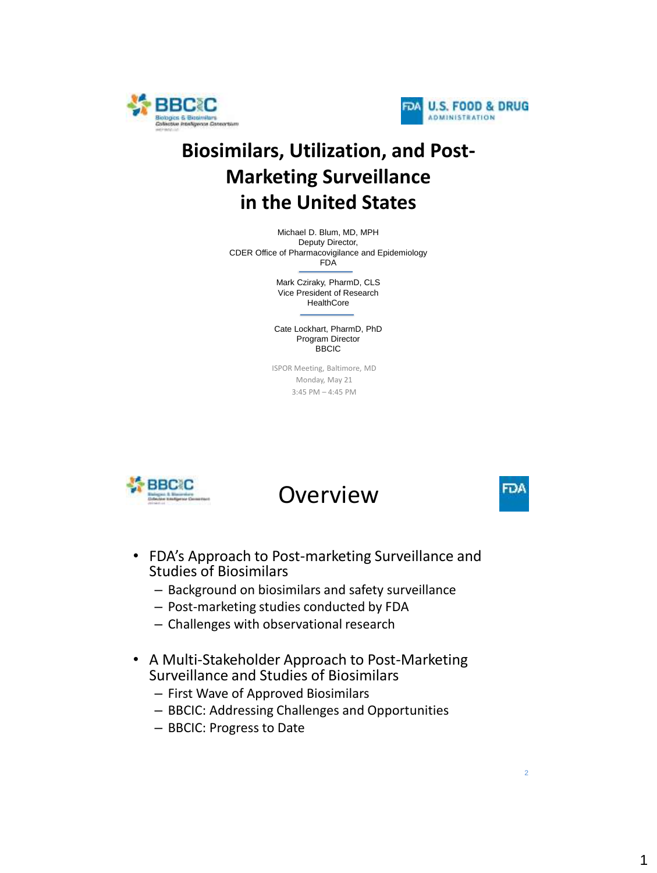



## **Biosimilars, Utilization, and Post-Marketing Surveillance in the United States**

Michael D. Blum, MD, MPH Deputy Director, CDER Office of Pharmacovigilance and Epidemiology FDA

> Mark Cziraky, PharmD, CLS Vice President of Research **HealthCore**

Cate Lockhart, PharmD, PhD Program Director BBCIC

ISPOR Meeting, Baltimore, MD Monday, May 21 3:45 PM – 4:45 PM



Overview

- FDA's Approach to Post-marketing Surveillance and Studies of Biosimilars
	- Background on biosimilars and safety surveillance
	- Post-marketing studies conducted by FDA
	- Challenges with observational research
- A Multi-Stakeholder Approach to Post-Marketing Surveillance and Studies of Biosimilars
	- First Wave of Approved Biosimilars
	- BBCIC: Addressing Challenges and Opportunities
	- BBCIC: Progress to Date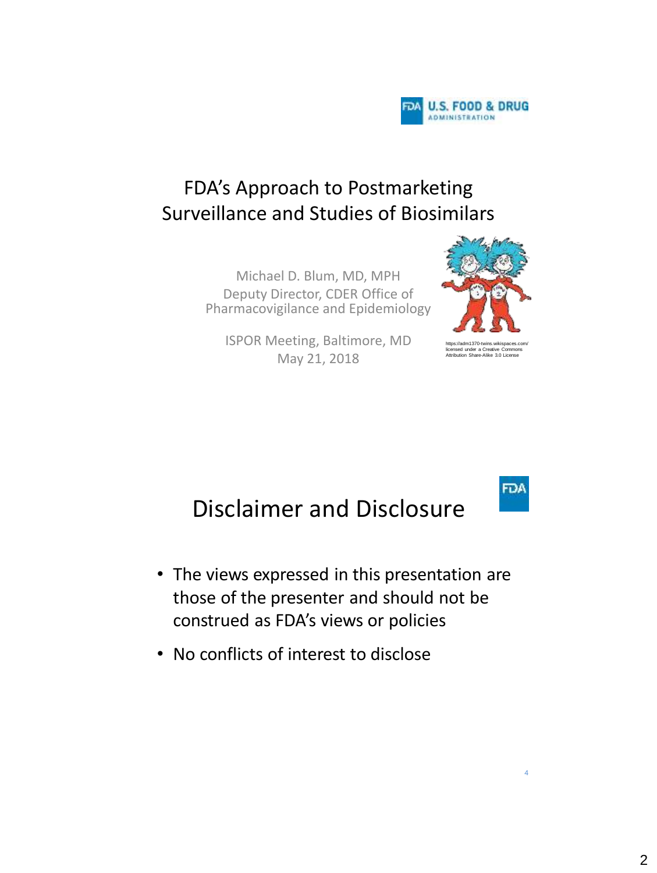

## FDA's Approach to Postmarketing Surveillance and Studies of Biosimilars

Michael D. Blum, MD, MPH Deputy Director, CDER Office of Pharmacovigilance and Epidemiology

ISPOR Meeting, Baltimore, MD May 21, 2018



**FDA** 

## Disclaimer and Disclosure

- The views expressed in this presentation are those of the presenter and should not be construed as FDA's views or policies
- No conflicts of interest to disclose

4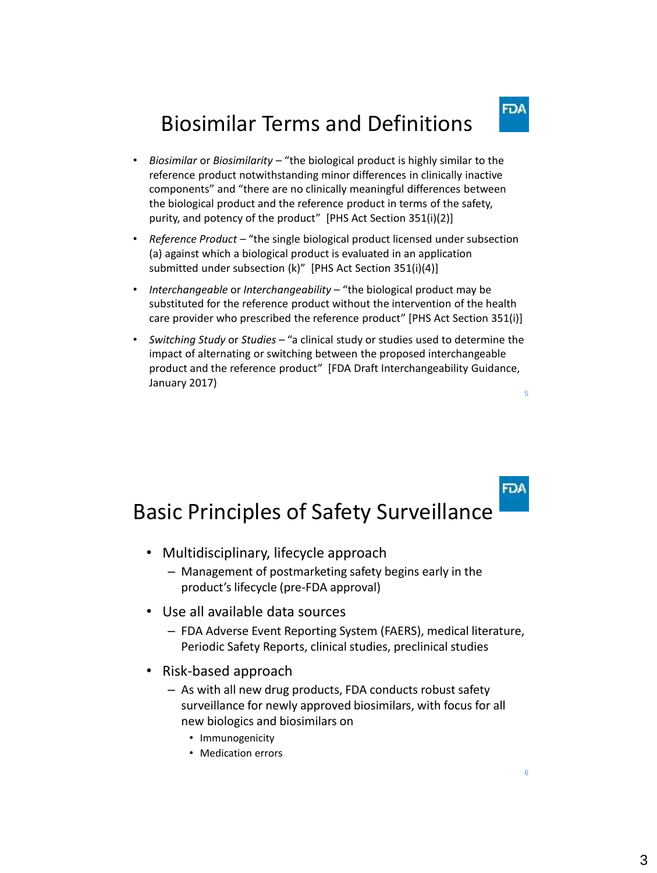## Biosimilar Terms and Definitions

- *Biosimilar* or *Biosimilarity* "the biological product is highly similar to the reference product notwithstanding minor differences in clinically inactive components" and "there are no clinically meaningful differences between the biological product and the reference product in terms of the safety, purity, and potency of the product" [PHS Act Section 351(i)(2)]
- *Reference Product –* "the single biological product licensed under subsection (a) against which a biological product is evaluated in an application submitted under subsection (k)" [PHS Act Section 351(i)(4)]
- *Interchangeable* or *Interchangeability* "the biological product may be substituted for the reference product without the intervention of the health care provider who prescribed the reference product" [PHS Act Section 351(i)]
- 5 • *Switching Study* or *Studies* – "a clinical study or studies used to determine the impact of alternating or switching between the proposed interchangeable product and the reference product" [FDA Draft Interchangeability Guidance, January 2017)

## Basic Principles of Safety Surveillance

- Multidisciplinary, lifecycle approach
	- Management of postmarketing safety begins early in the product's lifecycle (pre-FDA approval)
- Use all available data sources
	- FDA Adverse Event Reporting System (FAERS), medical literature, Periodic Safety Reports, clinical studies, preclinical studies
- Risk-based approach
	- As with all new drug products, FDA conducts robust safety surveillance for newly approved biosimilars, with focus for all new biologics and biosimilars on
		- Immunogenicity
		- Medication errors

FDA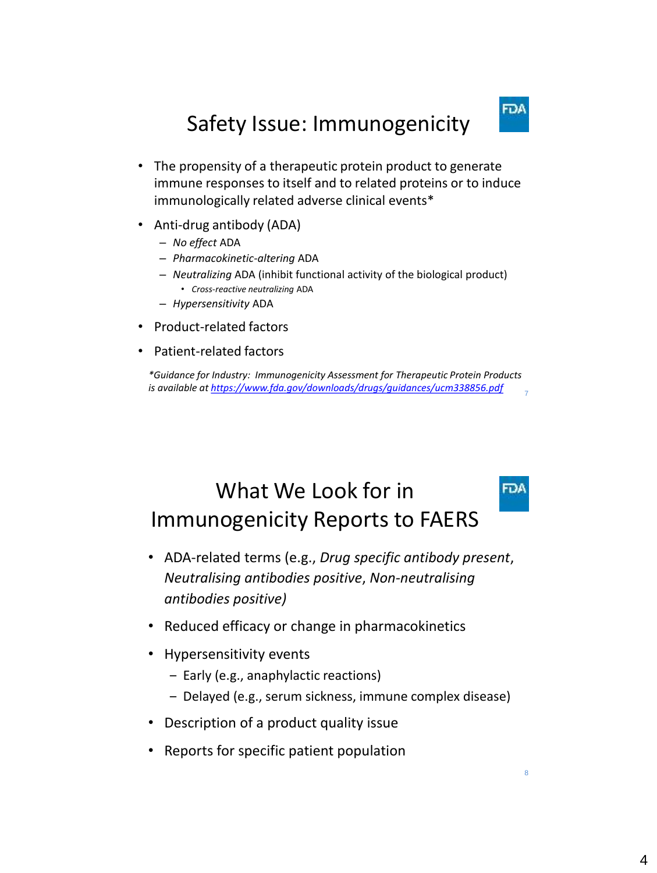## FDA

**FDA** 

8

## Safety Issue: Immunogenicity

- The propensity of a therapeutic protein product to generate immune responses to itself and to related proteins or to induce immunologically related adverse clinical events\*
- Anti-drug antibody (ADA)
	- *No effect* ADA
	- *Pharmacokinetic-altering* ADA
	- *Neutralizing* ADA (inhibit functional activity of the biological product) • *Cross-reactive neutralizing* ADA
	- *Hypersensitivity* ADA
- Product-related factors
- Patient-related factors

7 *\*Guidance for Industry: Immunogenicity Assessment for Therapeutic Protein Products is available at <https://www.fda.gov/downloads/drugs/guidances/ucm338856.pdf>*

## What We Look for in Immunogenicity Reports to FAERS

- ADA-related terms (e.g., *Drug specific antibody present*, *Neutralising antibodies positive*, *Non-neutralising antibodies positive)*
- Reduced efficacy or change in pharmacokinetics
- Hypersensitivity events
	- ‒ Early (e.g., anaphylactic reactions)
	- ‒ Delayed (e.g., serum sickness, immune complex disease)
- Description of a product quality issue
- Reports for specific patient population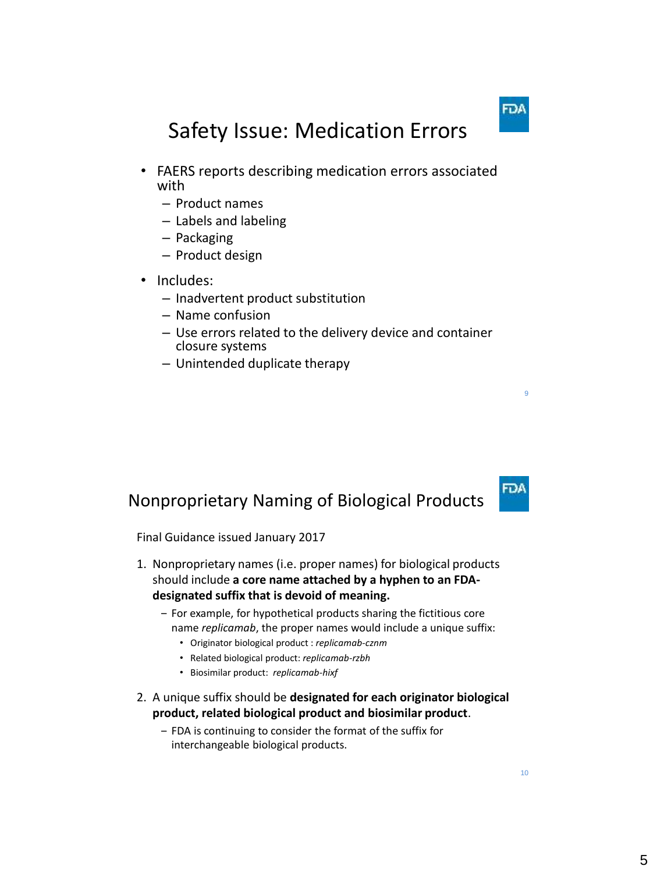# Safety Issue: Medication Errors

- FAERS reports describing medication errors associated with
	- Product names
	- Labels and labeling
	- Packaging
	- Product design
- Includes:
	- Inadvertent product substitution
	- Name confusion
	- Use errors related to the delivery device and container closure systems
	- Unintended duplicate therapy

### Nonproprietary Naming of Biological Products

Final Guidance issued January 2017

- 1. Nonproprietary names (i.e. proper names) for biological products should include **a core name attached by a hyphen to an FDAdesignated suffix that is devoid of meaning.**
	- ‒ For example, for hypothetical products sharing the fictitious core name *replicamab*, the proper names would include a unique suffix:
		- Originator biological product : *replicamab-cznm*
		- Related biological product: *replicamab-rzbh*
		- Biosimilar product: *replicamab-hixf*
- 2. A unique suffix should be **designated for each originator biological product, related biological product and biosimilar product**.
	- ‒ FDA is continuing to consider the format of the suffix for interchangeable biological products.

 $10$ 

9

FDA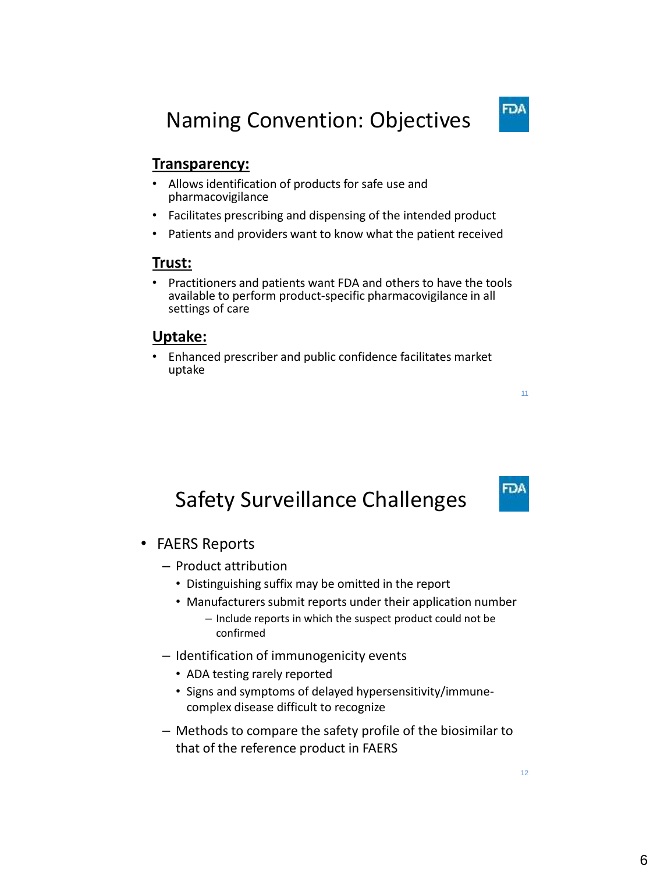### **Transparency:**

- Allows identification of products for safe use and pharmacovigilance
- Facilitates prescribing and dispensing of the intended product
- Patients and providers want to know what the patient received

### **Trust:**

• Practitioners and patients want FDA and others to have the tools available to perform product-specific pharmacovigilance in all settings of care

### **Uptake:**

• Enhanced prescriber and public confidence facilitates market uptake

## Safety Surveillance Challenges

- FAERS Reports
	- Product attribution
		- Distinguishing suffix may be omitted in the report
		- Manufacturers submit reports under their application number
			- Include reports in which the suspect product could not be confirmed
	- Identification of immunogenicity events
		- ADA testing rarely reported
		- Signs and symptoms of delayed hypersensitivity/immunecomplex disease difficult to recognize
	- Methods to compare the safety profile of the biosimilar to that of the reference product in FAERS

12

11

FDA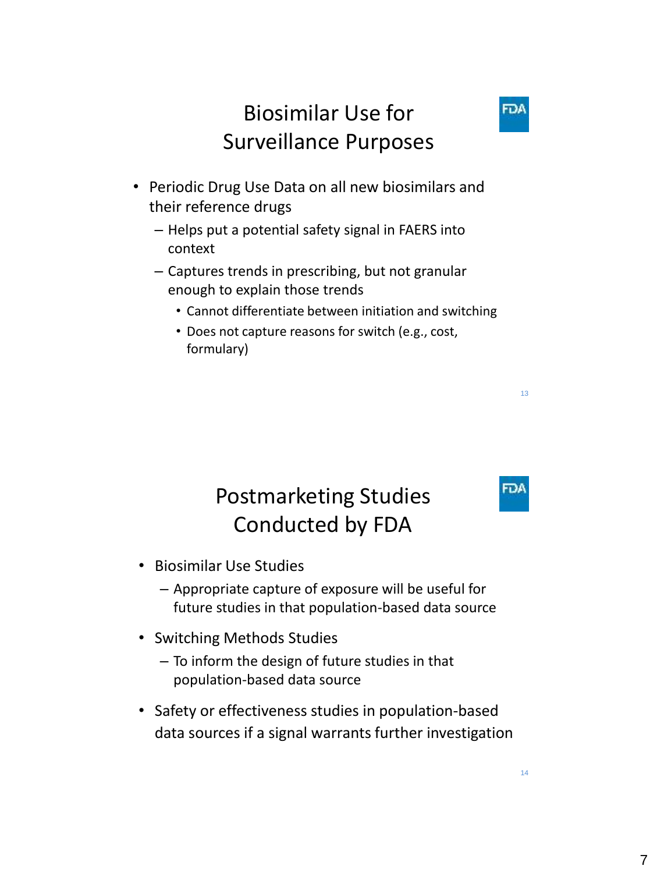## Biosimilar Use for Surveillance Purposes

- Periodic Drug Use Data on all new biosimilars and their reference drugs
	- Helps put a potential safety signal in FAERS into context
	- Captures trends in prescribing, but not granular enough to explain those trends
		- Cannot differentiate between initiation and switching
		- Does not capture reasons for switch (e.g., cost, formulary)

## Postmarketing Studies Conducted by FDA

- Biosimilar Use Studies
	- Appropriate capture of exposure will be useful for future studies in that population-based data source
- Switching Methods Studies
	- To inform the design of future studies in that population-based data source
- Safety or effectiveness studies in population-based data sources if a signal warrants further investigation

13

FDA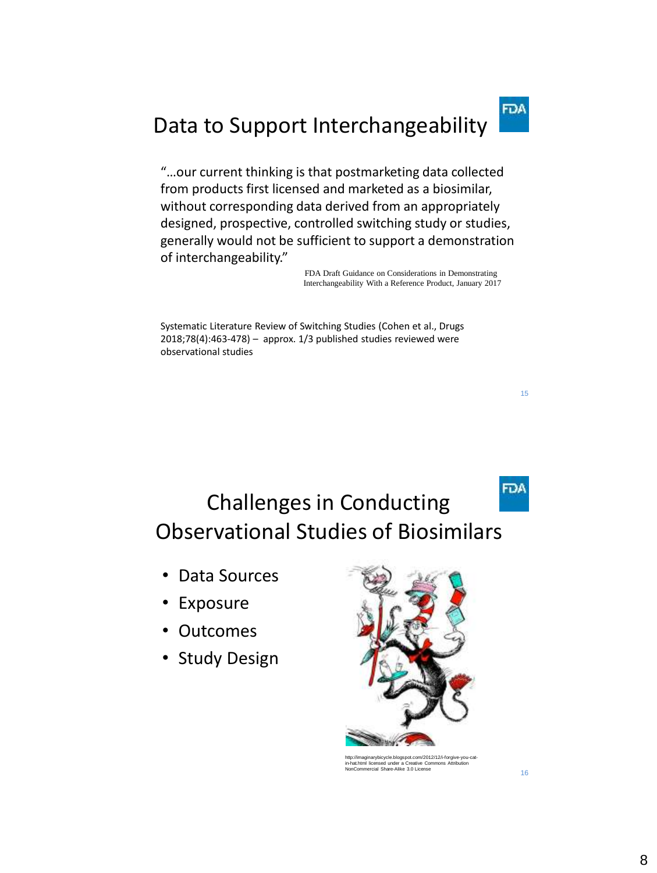# Data to Support Interchangeability

"…our current thinking is that postmarketing data collected from products first licensed and marketed as a biosimilar, without corresponding data derived from an appropriately designed, prospective, controlled switching study or studies, generally would not be sufficient to support a demonstration of interchangeability."

> FDA Draft Guidance on Considerations in Demonstrating Interchangeability With a Reference Product, January 2017

Systematic Literature Review of Switching Studies (Cohen et al., Drugs 2018;78(4):463-478) – approx. 1/3 published studies reviewed were observational studies

- Exposure
- Outcomes
- Study Design



http://imaginarybicycle.blogspot.com/2012/12/i-forgive-you-cat-in-hat.html licensed under a Creative Commons Attribution NonCommercial Share-Alike 3.0 License

15

**FDA** 

Challenges in Conducting Observational Studies of Biosimilars

<sup>•</sup> Data Sources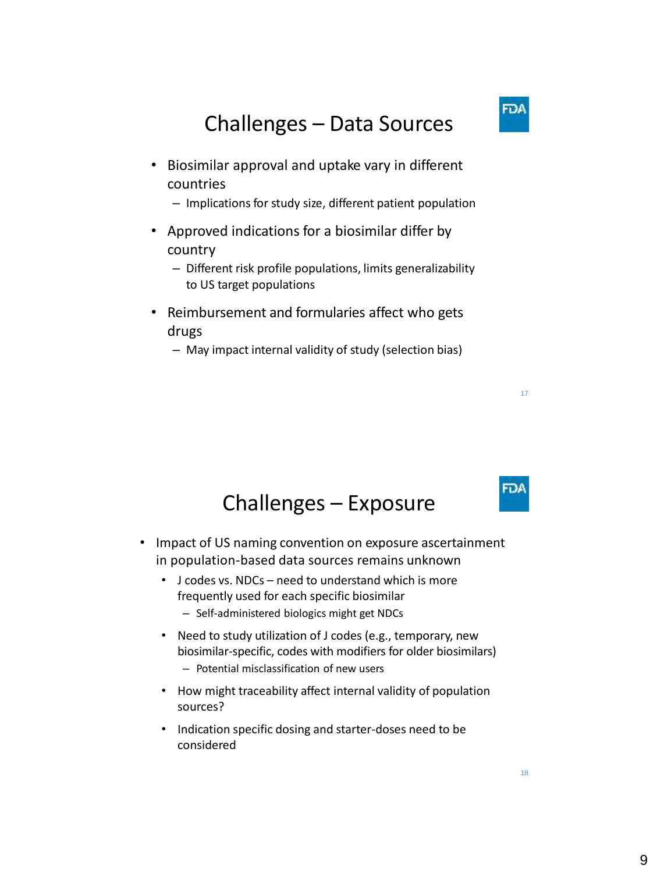## Challenges – Data Sources

- Biosimilar approval and uptake vary in different countries
	- Implications for study size, different patient population
- Approved indications for a biosimilar differ by country
	- Different risk profile populations, limits generalizability to US target populations
- Reimbursement and formularies affect who gets drugs
	- May impact internal validity of study (selection bias)

## Challenges – Exposure

- Impact of US naming convention on exposure ascertainment in population-based data sources remains unknown
	- J codes vs. NDCs need to understand which is more frequently used for each specific biosimilar
		- Self-administered biologics might get NDCs
	- Need to study utilization of J codes (e.g., temporary, new biosimilar-specific, codes with modifiers for older biosimilars) – Potential misclassification of new users
	- How might traceability affect internal validity of population sources?
	- Indication specific dosing and starter-doses need to be considered



18

17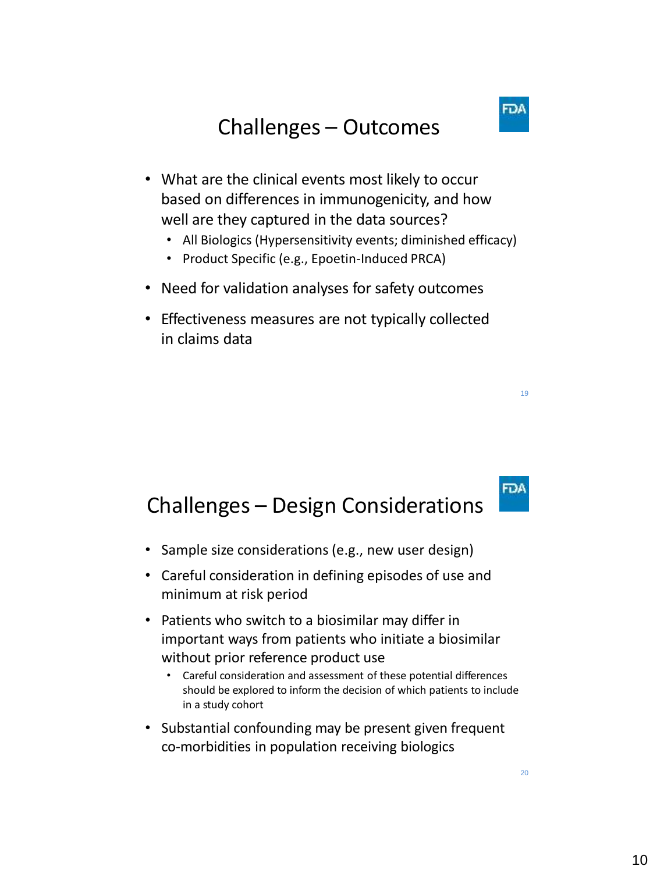- What are the clinical events most likely to occur based on differences in immunogenicity, and how well are they captured in the data sources?
	- All Biologics (Hypersensitivity events; diminished efficacy)
	- Product Specific (e.g., Epoetin-Induced PRCA)
- Need for validation analyses for safety outcomes
- Effectiveness measures are not typically collected in claims data

## Challenges – Design Considerations

- Sample size considerations (e.g., new user design)
- Careful consideration in defining episodes of use and minimum at risk period
- Patients who switch to a biosimilar may differ in important ways from patients who initiate a biosimilar without prior reference product use
	- Careful consideration and assessment of these potential differences should be explored to inform the decision of which patients to include in a study cohort
- Substantial confounding may be present given frequent co-morbidities in population receiving biologics

19

**FDA**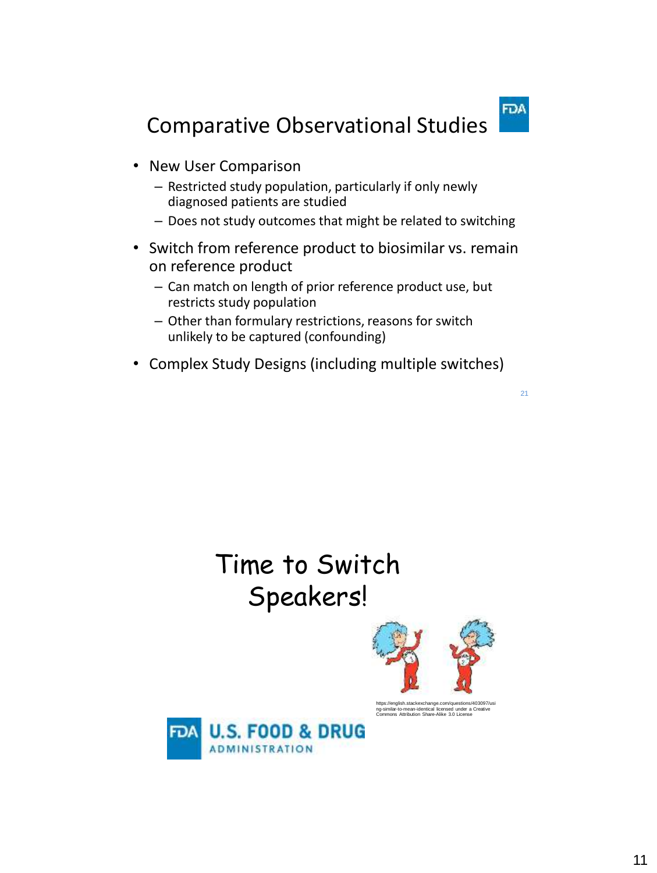**FDA** 

# Comparative Observational Studies

- New User Comparison
	- Restricted study population, particularly if only newly diagnosed patients are studied
	- Does not study outcomes that might be related to switching
- Switch from reference product to biosimilar vs. remain on reference product
	- Can match on length of prior reference product use, but restricts study population
	- Other than formulary restrictions, reasons for switch unlikely to be captured (confounding)
- Complex Study Designs (including multiple switches)

#### 21

# Time to Switch Speakers!



https://english.stackexchange.com/questions/403097/usi ng-similar-to-mean-identical licensed under a Creative Commons Attribution Share-Alike 3.0 License

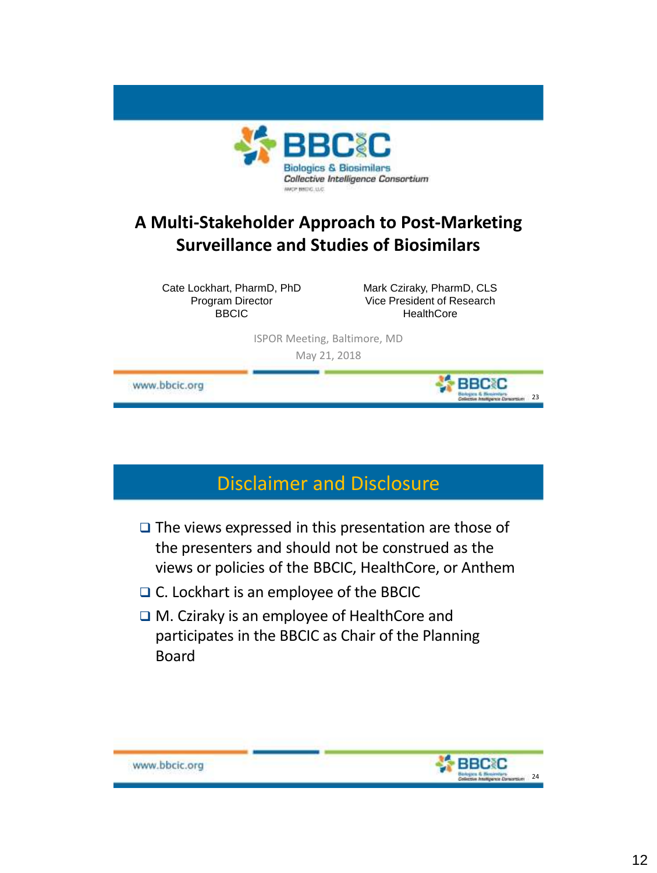

### **A Multi-Stakeholder Approach to Post-Marketing Surveillance and Studies of Biosimilars**

Cate Lockhart, PharmD, PhD Program Director BBCIC

Mark Cziraky, PharmD, CLS Vice President of Research **HealthCore** 

**BBCC** 

23

ISPOR Meeting, Baltimore, MD

May 21, 2018

www.bbcic.org

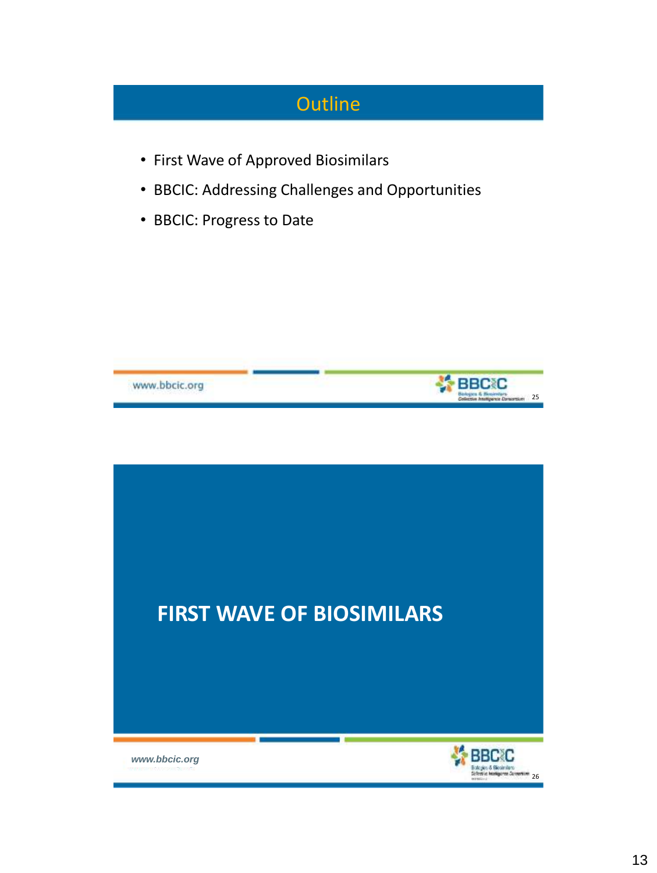## **Outline**

- First Wave of Approved Biosimilars
- BBCIC: Addressing Challenges and Opportunities
- BBCIC: Progress to Date



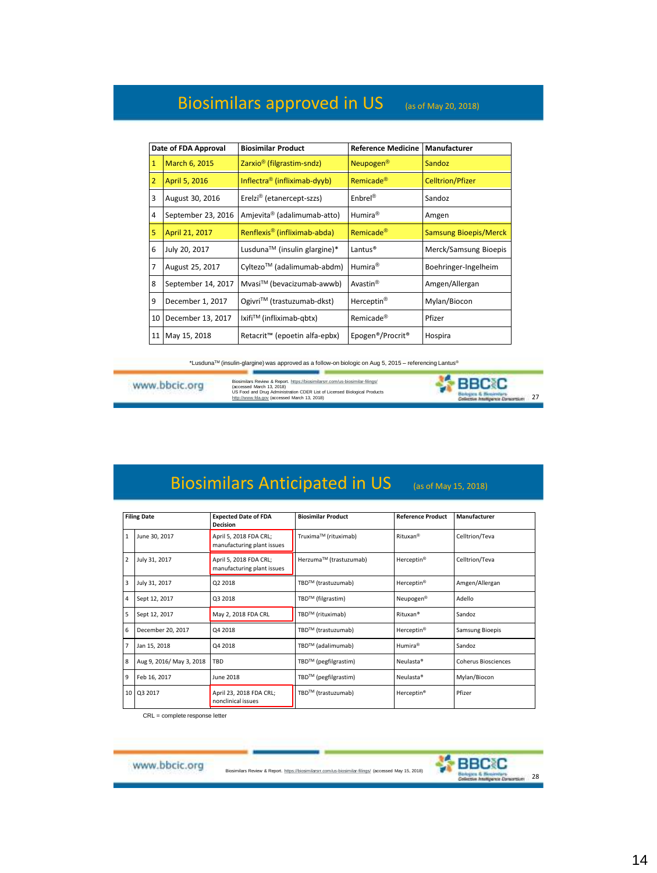### Biosimilars approved in US (as of May 20, 2018)

|    | Date of FDA Approval | <b>Biosimilar Product</b>                 | <b>Reference Medicine</b>                 | Manufacturer                 |
|----|----------------------|-------------------------------------------|-------------------------------------------|------------------------------|
| 1  | March 6, 2015        | Zarxio <sup>®</sup> (filgrastim-sndz)     | Neupogen <sup>®</sup>                     | <b>Sandoz</b>                |
| 2  | April 5, 2016        | Inflectra <sup>®</sup> (infliximab-dyyb)  | Remicade <sup>®</sup>                     | <b>Celltrion/Pfizer</b>      |
| 3  | August 30, 2016      | Erelzi <sup>®</sup> (etanercept-szzs)     | $Enbrel^®$                                | Sandoz                       |
| 4  | September 23, 2016   | Amjevita <sup>®</sup> (adalimumab-atto)   | Humira <sup>®</sup>                       | Amgen                        |
| 5  | April 21, 2017       | Renflexis <sup>®</sup> (infliximab-abda)  | Remicade <sup>®</sup>                     | <b>Samsung Bioepis/Merck</b> |
| 6  | July 20, 2017        | Lusduna™ (insulin glargine)*              | Lantus <sup>®</sup>                       | Merck/Samsung Bioepis        |
| 7  | August 25, 2017      | Cyltezo™ (adalimumab-abdm)                | Humira <sup>®</sup>                       | Boehringer-Ingelheim         |
| 8  | September 14, 2017   | Mvasi™ (bevacizumab-awwb)                 | Avastin <sup>®</sup>                      | Amgen/Allergan               |
| 9  | December 1, 2017     | Ogivri™ (trastuzumab-dkst)                | Herceptin <sup>®</sup>                    | Mylan/Biocon                 |
| 10 | December 13, 2017    | lxifi™ (infliximab-qbtx)                  | Remicade <sup>®</sup>                     | Pfizer                       |
|    | 11   May 15, 2018    | Retacrit <sup>™</sup> (epoetin alfa-epbx) | Epogen <sup>®</sup> /Procrit <sup>®</sup> | Hospira                      |

\*LusdunaTM (insulin-glargine) was approved as a follow-on biologic on Aug 5, 2015 – referencing Lantus®

www.bbcic.org

Biosimilars Review & Report. <u><https://biosimilarsrr.com/us-biosimilar-filings/></u><br>(accessed March 13, 2018)<br>US Food and Drug Administration CDER List of Licensed Biological Products<br><u>[http://www.fda.gov](http://www.fda.gov/)</u> (accessed March 13, 2

--



### Biosimilars Anticipated in US (as of May 15, 2018)

|                | <b>Filing Date</b>       | <b>Expected Date of FDA</b><br><b>Decision</b>       | <b>Biosimilar Product</b> | <b>Reference Product</b> | Manufacturer               |
|----------------|--------------------------|------------------------------------------------------|---------------------------|--------------------------|----------------------------|
| $\mathbf{1}$   | June 30, 2017            | April 5, 2018 FDA CRL;<br>manufacturing plant issues | Truxima™ (rituximab)      | Rituxan <sup>®</sup>     | Celltrion/Teva             |
| $\overline{2}$ | July 31, 2017            | April 5, 2018 FDA CRL;<br>manufacturing plant issues | Herzuma™ (trastuzumab)    | Herceptin <sup>®</sup>   | Celltrion/Teva             |
| 3              | July 31, 2017            | Q2 2018                                              | TBD™ (trastuzumab)        | Herceptin <sup>®</sup>   | Amgen/Allergan             |
| 4              | Sept 12, 2017            | Q3 2018                                              | TBD™ (filgrastim)         | Neupogen <sup>®</sup>    | Adello                     |
| 5              | Sept 12, 2017            | May 2, 2018 FDA CRL                                  | TBD™ (rituximab)          | Rituxan <sup>®</sup>     | Sandoz                     |
| 6              | December 20, 2017        | Q4 2018                                              | TBD™ (trastuzumab)        | Herceptin <sup>®</sup>   | <b>Samsung Bioepis</b>     |
| $\overline{7}$ | Jan 15, 2018             | Q4 2018                                              | TBD™ (adalimumab)         | Humira <sup>®</sup>      | Sandoz                     |
| 8              | Aug 9, 2016/ May 3, 2018 | TBD                                                  | TBD™ (pegfilgrastim)      | Neulasta <sup>®</sup>    | <b>Coherus Biosciences</b> |
| 9              | Feb 16, 2017             | June 2018                                            | TBD™ (pegfilgrastim)      | Neulasta <sup>®</sup>    | Mylan/Biocon               |
| 10             | Q3 2017                  | April 23, 2018 FDA CRL;<br>nonclinical issues        | TBD™ (trastuzumab)        | Herceptin <sup>®</sup>   | Pfizer                     |

CRL = complete response letter

www.bbcic.org

Biosimilars Review & Report. <https://biosimilarsrr.com/us-biosimilar-filings/> (accessed May 15, 2018)

128

**特BBCIC**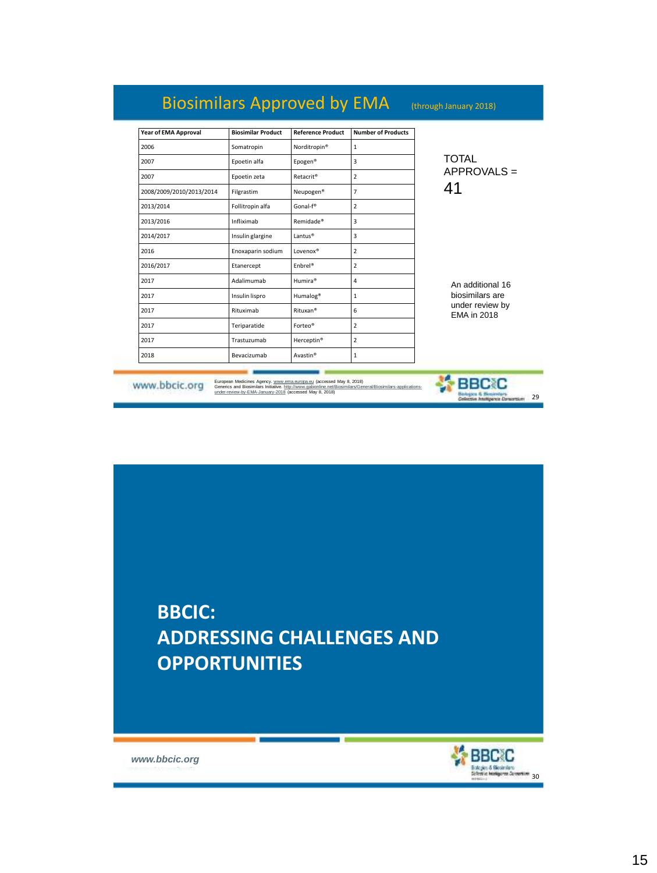## Biosimilars Approved by EMA (through January 2018)

| Year of EMA Approval     | <b>Biosimilar Product</b> | <b>Reference Product</b> | <b>Number of Products</b> |                                                                              |
|--------------------------|---------------------------|--------------------------|---------------------------|------------------------------------------------------------------------------|
| 2006                     | Somatropin                | Norditropin <sup>®</sup> | $\mathbf{1}$              |                                                                              |
| 2007                     | Epoetin alfa              | Epogen®                  | 3                         | <b>TOTAL</b><br>$APPROVALS =$                                                |
| 2007                     | Epoetin zeta              | Retacrit <sup>®</sup>    | $\overline{2}$            |                                                                              |
| 2008/2009/2010/2013/2014 | Filgrastim                | Neupogen <sup>®</sup>    | 7                         | 41                                                                           |
| 2013/2014                | Follitropin alfa          | Gonal-f <sup>®</sup>     | $\overline{2}$            |                                                                              |
| 2013/2016                | Infliximab                | Remidade®                | 3                         |                                                                              |
| 2014/2017                | Insulin glargine          | Lantus <sup>®</sup>      | 3                         |                                                                              |
| 2016                     | Enoxaparin sodium         | Lovenox®                 | $\overline{2}$            | An additional 16<br>biosimilars are<br>under review by<br><b>EMA</b> in 2018 |
| 2016/2017                | Etanercept                | Fnbrel®                  | $\overline{2}$            |                                                                              |
| 2017                     | Adalimumab                | Humira®                  | 4                         |                                                                              |
| 2017                     | Insulin lispro            | Humalog <sup>®</sup>     | $\mathbf{1}$              |                                                                              |
| 2017                     | Rituximab                 | Rituxan <sup>®</sup>     | 6                         |                                                                              |
| 2017                     | Teriparatide              | Forteo <sup>®</sup>      | 2                         |                                                                              |
| 2017                     | Trastuzumab               | Herceptin <sup>®</sup>   | $\overline{2}$            |                                                                              |
| 2018                     | Bevacizumab               | Avastin <sup>®</sup>     | $\mathbf{1}$              |                                                                              |

www.bbcic.org

European Medicines Agency. <u>www.ema.europa.eu</u> (accessed May 8, 2018)<br>Generics and Biosimilars Initiative. <u>http://www.gabionline.ne/Biosimilars/General/Biosimilars-applications-</u><br>under-review-by-EMA-January-2018 (accessed



*www.bbcic.org*



Constantino 29

**特BBCIC**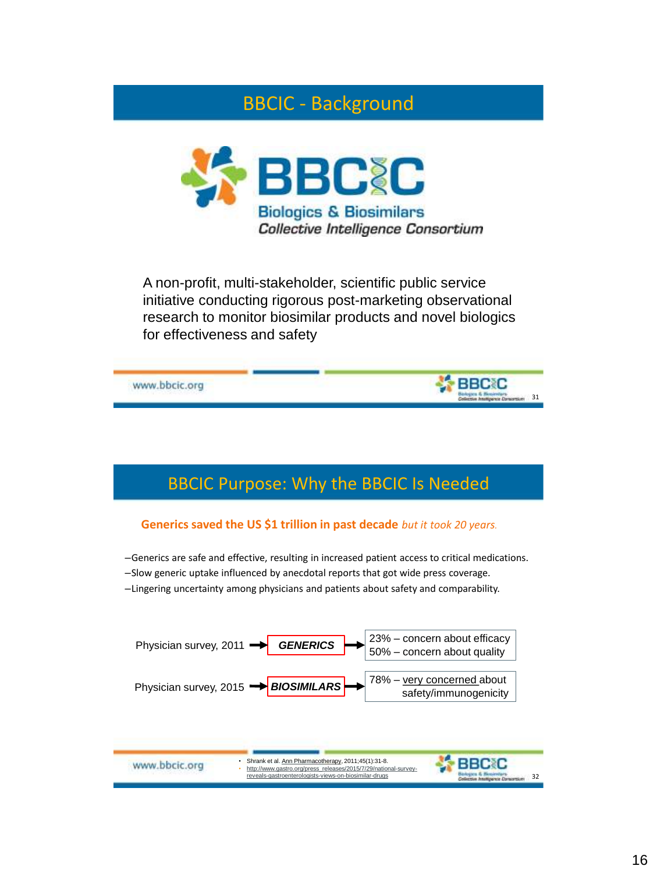### BBCIC - Background



A non-profit, multi-stakeholder, scientific public service initiative conducting rigorous post-marketing observational research to monitor biosimilar products and novel biologics for effectiveness and safety



### BBCIC Purpose: Why the BBCIC Is Needed

#### **Generics saved the US \$1 trillion in past decade** *but it took 20 years.*

–Generics are safe and effective, resulting in increased patient access to critical medications.

- –Slow generic uptake influenced by anecdotal reports that got wide press coverage.
- –Lingering uncertainty among physicians and patients about safety and comparability.



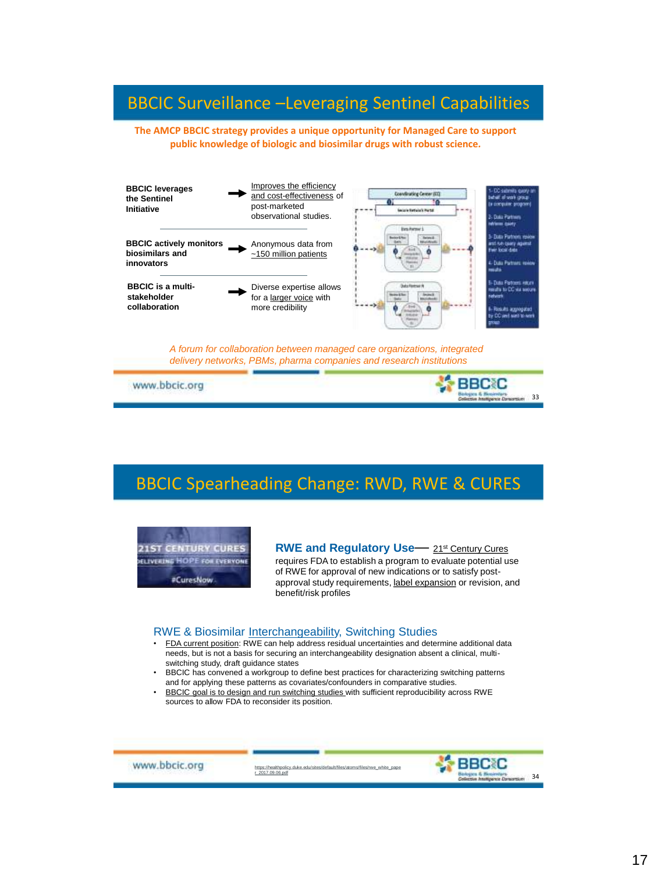### BBCIC Surveillance –Leveraging Sentinel Capabilities

**The AMCP BBCIC strategy provides a unique opportunity for Managed Care to support public knowledge of biologic and biosimilar drugs with robust science***.*



*A forum for collaboration between managed care organizations, integrated delivery networks, PBMs, pharma companies and research institutions*

www.bbcic.org

### BBCIC Spearheading Change: RWD, RWE & CURES



**RWE and Regulatory Use**— 21st Century Cures requires FDA to establish a program to evaluate potential use of RWE for approval of new indications or to satisfy postapproval study requirements, label expansion or revision, and benefit/risk profiles

#### RWE & Biosimilar Interchangeability, Switching Studies

- FDA current position: RWE can help address residual uncertainties and determine additional data needs, but is not a basis for securing an interchangeability designation absent a clinical, multiswitching study, draft guidance states
- BBCIC has convened a workgroup to define best practices for characterizing switching patterns and for applying these patterns as covariates/confounders in comparative studies.
- BBCIC goal is to design and run switching studies with sufficient reproducibility across RWE sources to allow FDA to reconsider its position.



[https://healthpolicy.duke.edu/sites/default/files/atoms/files/rwe\\_white\\_pape](https://healthpolicy.duke.edu/sites/default/files/atoms/files/rwe_white_paper_2017.09.06.pdf) r\_2017.09.06.pdf

**PELOY** 33

**BBCC**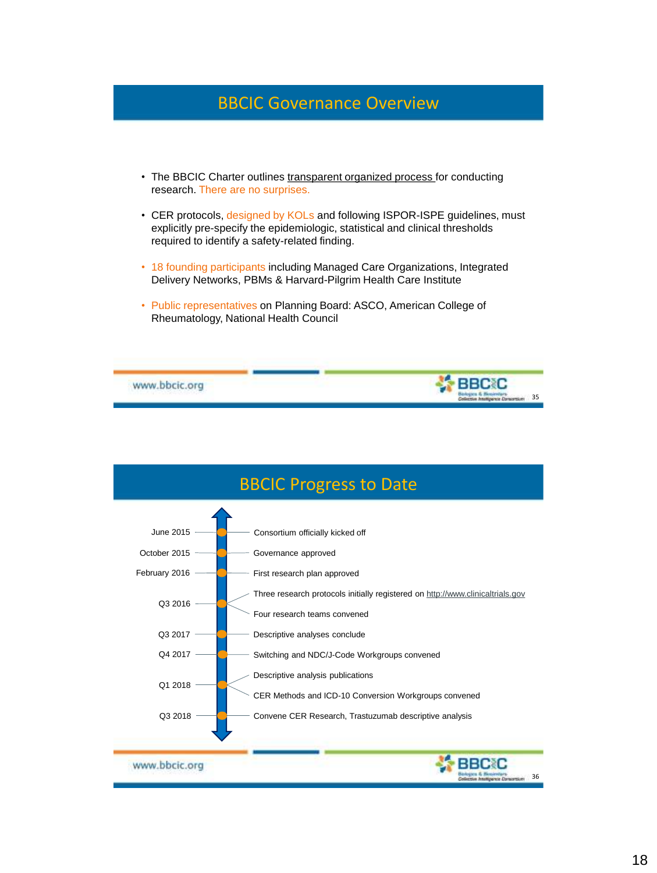### BBCIC Governance Overview

- The BBCIC Charter outlines transparent organized process for conducting research. There are no surprises.
- CER protocols, designed by KOLs and following ISPOR-ISPE guidelines, must explicitly pre-specify the epidemiologic, statistical and clinical thresholds required to identify a safety-related finding.
- 18 founding participants including Managed Care Organizations, Integrated Delivery Networks, PBMs & Harvard-Pilgrim Health Care Institute
- Public representatives on Planning Board: ASCO, American College of Rheumatology, National Health Council



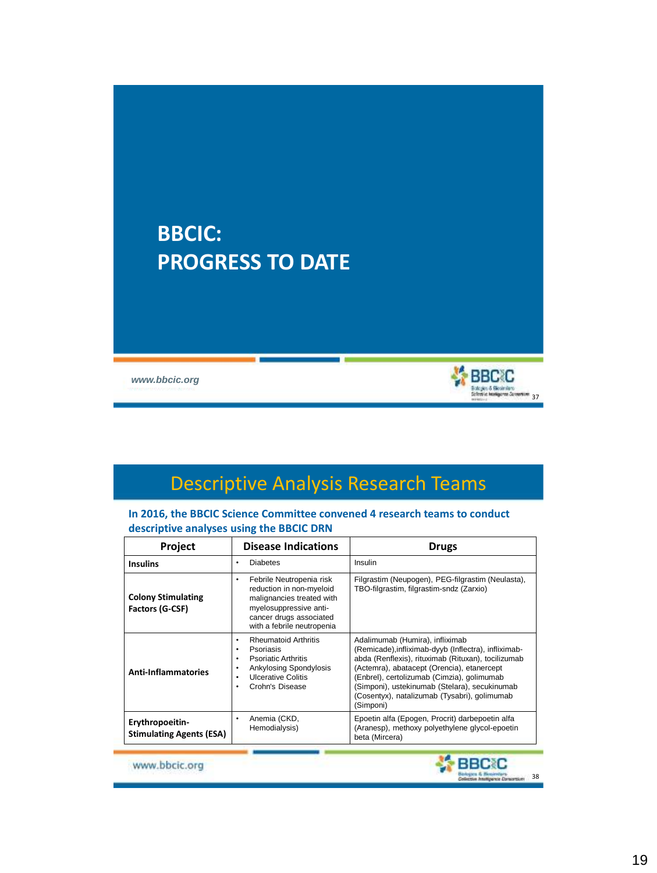## **BBCIC: PROGRESS TO DATE**



# Descriptive Analysis Research Teams

#### **In 2016, the BBCIC Science Committee convened 4 research teams to conduct descriptive analyses using the BBCIC DRN**

| <b>Disease Indications</b><br><b>Project</b>       |                                                                                                                                                                           | <b>Drugs</b>                                                                                                                                                                                                                                                                                                                                            |
|----------------------------------------------------|---------------------------------------------------------------------------------------------------------------------------------------------------------------------------|---------------------------------------------------------------------------------------------------------------------------------------------------------------------------------------------------------------------------------------------------------------------------------------------------------------------------------------------------------|
| <b>Insulins</b>                                    | <b>Diabetes</b><br>$\bullet$                                                                                                                                              | Insulin                                                                                                                                                                                                                                                                                                                                                 |
| <b>Colony Stimulating</b><br>Factors (G-CSF)       | Febrile Neutropenia risk<br>٠<br>reduction in non-myeloid<br>malignancies treated with<br>myelosuppressive anti-<br>cancer drugs associated<br>with a febrile neutropenia | Filgrastim (Neupogen), PEG-filgrastim (Neulasta),<br>TBO-filgrastim, filgrastim-sndz (Zarxio)                                                                                                                                                                                                                                                           |
| <b>Anti-Inflammatories</b>                         | <b>Rheumatoid Arthritis</b><br>٠<br>Psoriasis<br><b>Psoriatic Arthritis</b><br>Ankylosing Spondylosis<br><b>Ulcerative Colitis</b><br>Crohn's Disease<br>٠                | Adalimumab (Humira), infliximab<br>(Remicade), infliximab-dyyb (Inflectra), infliximab-<br>abda (Renflexis), rituximab (Rituxan), tocilizumab<br>(Actemra), abatacept (Orencia), etanercept<br>(Enbrel), certolizumab (Cimzia), golimumab<br>(Simponi), ustekinumab (Stelara), secukinumab<br>(Cosentyx), natalizumab (Tysabri), golimumab<br>(Simponi) |
| Erythropoeitin-<br><b>Stimulating Agents (ESA)</b> | Anemia (CKD,<br>٠<br>Hemodialysis)                                                                                                                                        | Epoetin alfa (Epogen, Procrit) darbepoetin alfa<br>(Aranesp), methoxy polyethylene glycol-epoetin<br>beta (Mircera)                                                                                                                                                                                                                                     |

www.bbcic.org



**X**BBCC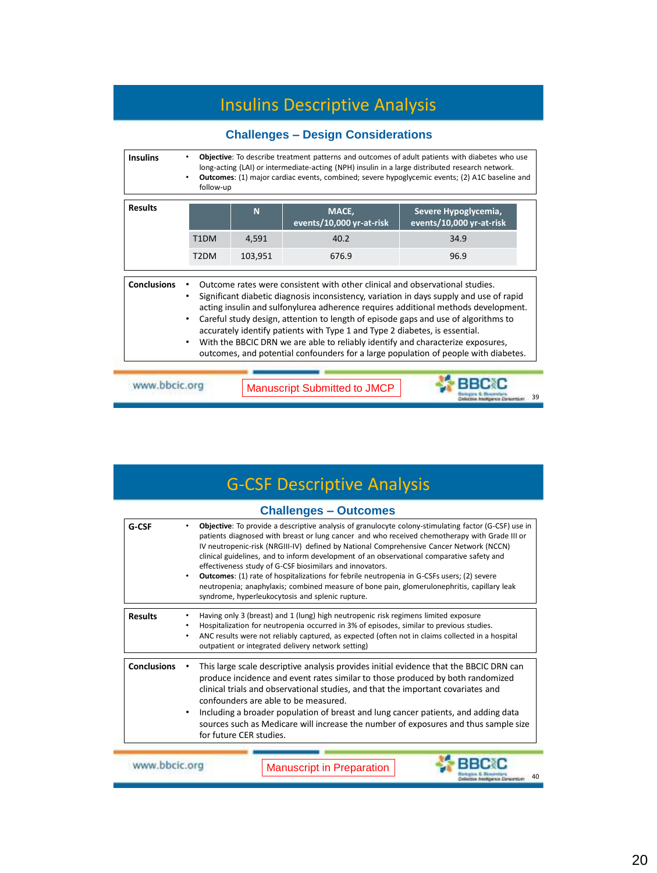### Insulins Descriptive Analysis

### **Challenges – Design Considerations**

| <b>Insulins</b>                                                                                                                                                                                                                                                                                                                                                                                                                                                                                                                                                                                                                                                   | Objective: To describe treatment patterns and outcomes of adult patients with diabetes who use<br>long-acting (LAI) or intermediate-acting (NPH) insulin in a large distributed research network.<br>Outcomes: (1) major cardiac events, combined; severe hypoglycemic events; (2) A1C baseline and<br>follow-up |         |                                   |                                                  |
|-------------------------------------------------------------------------------------------------------------------------------------------------------------------------------------------------------------------------------------------------------------------------------------------------------------------------------------------------------------------------------------------------------------------------------------------------------------------------------------------------------------------------------------------------------------------------------------------------------------------------------------------------------------------|------------------------------------------------------------------------------------------------------------------------------------------------------------------------------------------------------------------------------------------------------------------------------------------------------------------|---------|-----------------------------------|--------------------------------------------------|
| <b>Results</b>                                                                                                                                                                                                                                                                                                                                                                                                                                                                                                                                                                                                                                                    |                                                                                                                                                                                                                                                                                                                  | N       | MACE,<br>events/10,000 yr-at-risk | Severe Hypoglycemia,<br>events/10,000 yr-at-risk |
|                                                                                                                                                                                                                                                                                                                                                                                                                                                                                                                                                                                                                                                                   | T <sub>1</sub> DM                                                                                                                                                                                                                                                                                                | 4,591   | 40.2                              | 34.9                                             |
|                                                                                                                                                                                                                                                                                                                                                                                                                                                                                                                                                                                                                                                                   | T <sub>2</sub> DM                                                                                                                                                                                                                                                                                                | 103,951 | 676.9                             | 96.9                                             |
| <b>Conclusions</b><br>Outcome rates were consistent with other clinical and observational studies.<br>Significant diabetic diagnosis inconsistency, variation in days supply and use of rapid<br>٠<br>acting insulin and sulfonylurea adherence requires additional methods development.<br>Careful study design, attention to length of episode gaps and use of algorithms to<br>$\bullet$<br>accurately identify patients with Type 1 and Type 2 diabetes, is essential.<br>With the BBCIC DRN we are able to reliably identify and characterize exposures,<br>$\bullet$<br>outcomes, and potential confounders for a large population of people with diabetes. |                                                                                                                                                                                                                                                                                                                  |         |                                   |                                                  |
| www.bbcic.org<br><b>Manuscript Submitted to JMCP</b>                                                                                                                                                                                                                                                                                                                                                                                                                                                                                                                                                                                                              |                                                                                                                                                                                                                                                                                                                  |         |                                   |                                                  |

## G-CSF Descriptive Analysis

|                    |                                                   | <b>Challenges - Outcomes</b>                                                                                                                                                                                                                                                                                                                                                                                                                                                                                                                                                                                                                                                                                      |  |  |
|--------------------|---------------------------------------------------|-------------------------------------------------------------------------------------------------------------------------------------------------------------------------------------------------------------------------------------------------------------------------------------------------------------------------------------------------------------------------------------------------------------------------------------------------------------------------------------------------------------------------------------------------------------------------------------------------------------------------------------------------------------------------------------------------------------------|--|--|
| G-CSF              | $\bullet$                                         | Objective: To provide a descriptive analysis of granulocyte colony-stimulating factor (G-CSF) use in<br>patients diagnosed with breast or lung cancer and who received chemotherapy with Grade III or<br>IV neutropenic-risk (NRGIII-IV) defined by National Comprehensive Cancer Network (NCCN)<br>clinical guidelines, and to inform development of an observational comparative safety and<br>effectiveness study of G-CSF biosimilars and innovators.<br><b>Outcomes:</b> (1) rate of hospitalizations for febrile neutropenia in G-CSFs users; (2) severe<br>neutropenia; anaphylaxis; combined measure of bone pain, glomerulonephritis, capillary leak<br>syndrome, hyperleukocytosis and splenic rupture. |  |  |
| <b>Results</b>     | ٠                                                 | Having only 3 (breast) and 1 (lung) high neutropenic risk regimens limited exposure<br>Hospitalization for neutropenia occurred in 3% of episodes, similar to previous studies.<br>ANC results were not reliably captured, as expected (often not in claims collected in a hospital<br>outpatient or integrated delivery network setting)                                                                                                                                                                                                                                                                                                                                                                         |  |  |
| <b>Conclusions</b> | $\bullet$                                         | This large scale descriptive analysis provides initial evidence that the BBCIC DRN can<br>produce incidence and event rates similar to those produced by both randomized<br>clinical trials and observational studies, and that the important covariates and<br>confounders are able to be measured.<br>Including a broader population of breast and lung cancer patients, and adding data<br>sources such as Medicare will increase the number of exposures and thus sample size<br>for future CER studies.                                                                                                                                                                                                      |  |  |
|                    | www.bbcic.org<br><b>Manuscript in Preparation</b> |                                                                                                                                                                                                                                                                                                                                                                                                                                                                                                                                                                                                                                                                                                                   |  |  |

40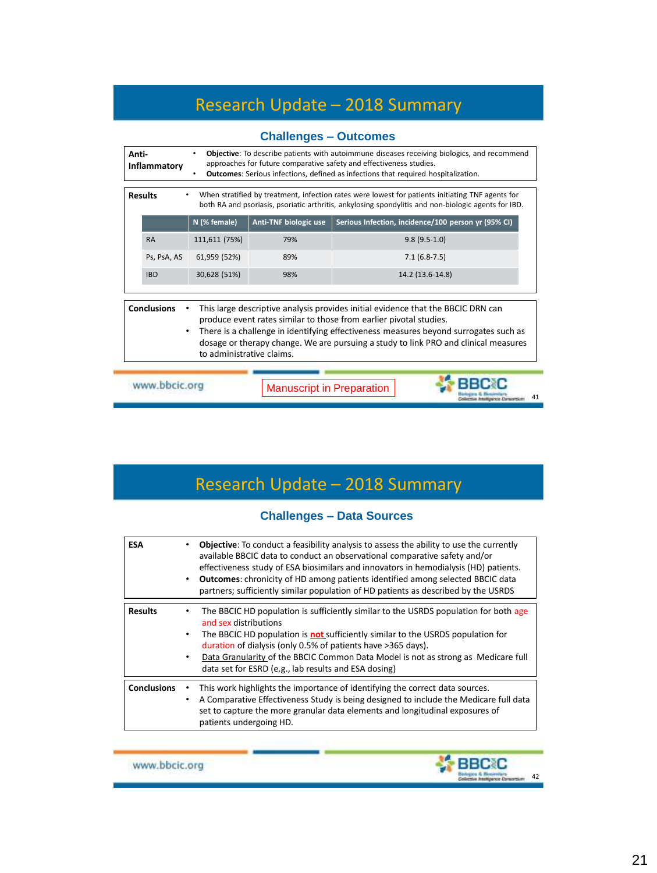## Research Update – 2018 Summary

| Objective: To describe patients with autoimmune diseases receiving biologics, and recommend<br>Anti-<br>٠<br>approaches for future comparative safety and effectiveness studies.<br>Inflammatory<br><b>Outcomes:</b> Serious infections, defined as infections that required hospitalization. |                                        |                                  |                                                                                                                                                                                                                                                                                                                                       |  |  |
|-----------------------------------------------------------------------------------------------------------------------------------------------------------------------------------------------------------------------------------------------------------------------------------------------|----------------------------------------|----------------------------------|---------------------------------------------------------------------------------------------------------------------------------------------------------------------------------------------------------------------------------------------------------------------------------------------------------------------------------------|--|--|
| <b>Results</b><br>When stratified by treatment, infection rates were lowest for patients initiating TNF agents for<br>both RA and psoriasis, psoriatic arthritis, ankylosing spondylitis and non-biologic agents for IBD.                                                                     |                                        |                                  |                                                                                                                                                                                                                                                                                                                                       |  |  |
|                                                                                                                                                                                                                                                                                               | N (% female)                           | Anti-TNF biologic use            | Serious Infection, incidence/100 person yr (95% CI)                                                                                                                                                                                                                                                                                   |  |  |
| <b>RA</b>                                                                                                                                                                                                                                                                                     | 111,611 (75%)                          | 79%                              | $9.8(9.5-1.0)$                                                                                                                                                                                                                                                                                                                        |  |  |
| Ps, PsA, AS                                                                                                                                                                                                                                                                                   | 61,959 (52%)                           | 89%                              | $7.1(6.8-7.5)$                                                                                                                                                                                                                                                                                                                        |  |  |
| <b>IBD</b>                                                                                                                                                                                                                                                                                    | 30,628 (51%)                           | 98%                              | 14.2 (13.6-14.8)                                                                                                                                                                                                                                                                                                                      |  |  |
| <b>Conclusions</b>                                                                                                                                                                                                                                                                            | $\bullet$<br>to administrative claims. |                                  | This large descriptive analysis provides initial evidence that the BBCIC DRN can<br>produce event rates similar to those from earlier pivotal studies.<br>There is a challenge in identifying effectiveness measures beyond surrogates such as<br>dosage or therapy change. We are pursuing a study to link PRO and clinical measures |  |  |
| www.bbcic.org                                                                                                                                                                                                                                                                                 |                                        | <b>Manuscript in Preparation</b> |                                                                                                                                                                                                                                                                                                                                       |  |  |

# Research Update – 2018 Summary

#### **Challenges – Data Sources**

| <b>ESA</b>         | <b>Objective:</b> To conduct a feasibility analysis to assess the ability to use the currently<br>available BBCIC data to conduct an observational comparative safety and/or<br>effectiveness study of ESA biosimilars and innovators in hemodialysis (HD) patients.<br><b>Outcomes:</b> chronicity of HD among patients identified among selected BBCIC data<br>$\bullet$<br>partners; sufficiently similar population of HD patients as described by the USRDS |
|--------------------|------------------------------------------------------------------------------------------------------------------------------------------------------------------------------------------------------------------------------------------------------------------------------------------------------------------------------------------------------------------------------------------------------------------------------------------------------------------|
| <b>Results</b>     | The BBCIC HD population is sufficiently similar to the USRDS population for both age<br>and sex distributions<br>The BBCIC HD population is <b>not</b> sufficiently similar to the USRDS population for<br>$\bullet$<br>duration of dialysis (only 0.5% of patients have >365 days).<br>Data Granularity of the BBCIC Common Data Model is not as strong as Medicare full<br>data set for ESRD (e.g., lab results and ESA dosing)                                |
| <b>Conclusions</b> | This work highlights the importance of identifying the correct data sources.<br>A Comparative Effectiveness Study is being designed to include the Medicare full data<br>set to capture the more granular data elements and longitudinal exposures of<br>patients undergoing HD.                                                                                                                                                                                 |

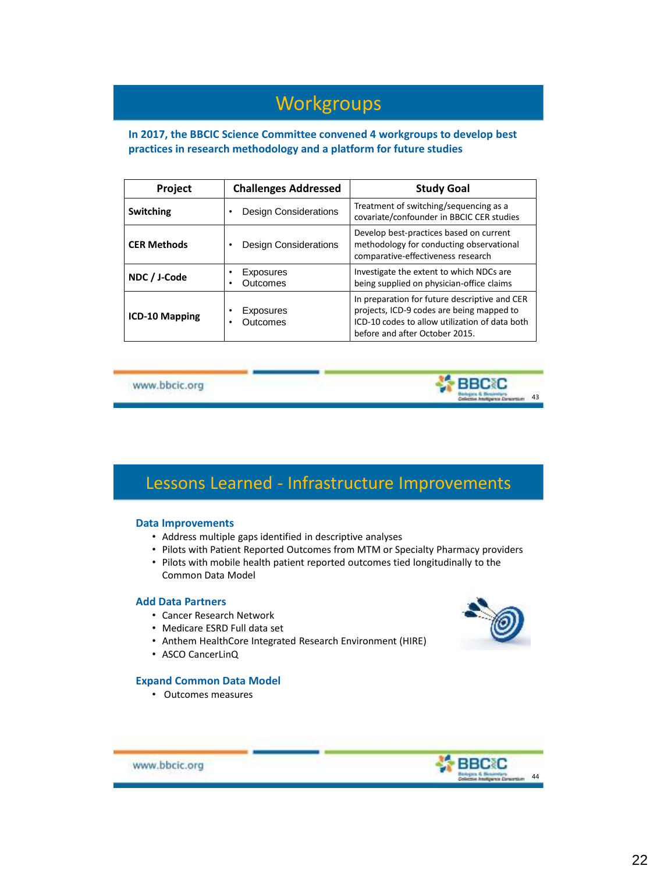### **Workgroups**

**In 2017, the BBCIC Science Committee convened 4 workgroups to develop best practices in research methodology and a platform for future studies**

| Project               | <b>Challenges Addressed</b>       | <b>Study Goal</b>                                                                                                                                                              |
|-----------------------|-----------------------------------|--------------------------------------------------------------------------------------------------------------------------------------------------------------------------------|
| <b>Switching</b>      | <b>Design Considerations</b><br>٠ | Treatment of switching/sequencing as a<br>covariate/confounder in BBCIC CER studies                                                                                            |
| <b>CER Methods</b>    | <b>Design Considerations</b><br>٠ | Develop best-practices based on current<br>methodology for conducting observational<br>comparative-effectiveness research                                                      |
| NDC / J-Code          | Exposures<br>٠<br>Outcomes<br>٠   | Investigate the extent to which NDCs are<br>being supplied on physician-office claims                                                                                          |
| <b>ICD-10 Mapping</b> | Exposures<br>٠<br>Outcomes<br>٠   | In preparation for future descriptive and CER<br>projects, ICD-9 codes are being mapped to<br>ICD-10 codes to allow utilization of data both<br>before and after October 2015. |

www.bbcic.org

### Lessons Learned - Infrastructure Improvements

#### **Data Improvements**

- Address multiple gaps identified in descriptive analyses
- Pilots with Patient Reported Outcomes from MTM or Specialty Pharmacy providers
- Pilots with mobile health patient reported outcomes tied longitudinally to the Common Data Model

#### **Add Data Partners**

- Cancer Research Network
- Medicare ESRD Full data set
- Anthem HealthCore Integrated Research Environment (HIRE)
- ASCO CancerLinQ

#### **Expand Common Data Model**

• Outcomes measures



43

**SE BBC C** 



www.bbcic.org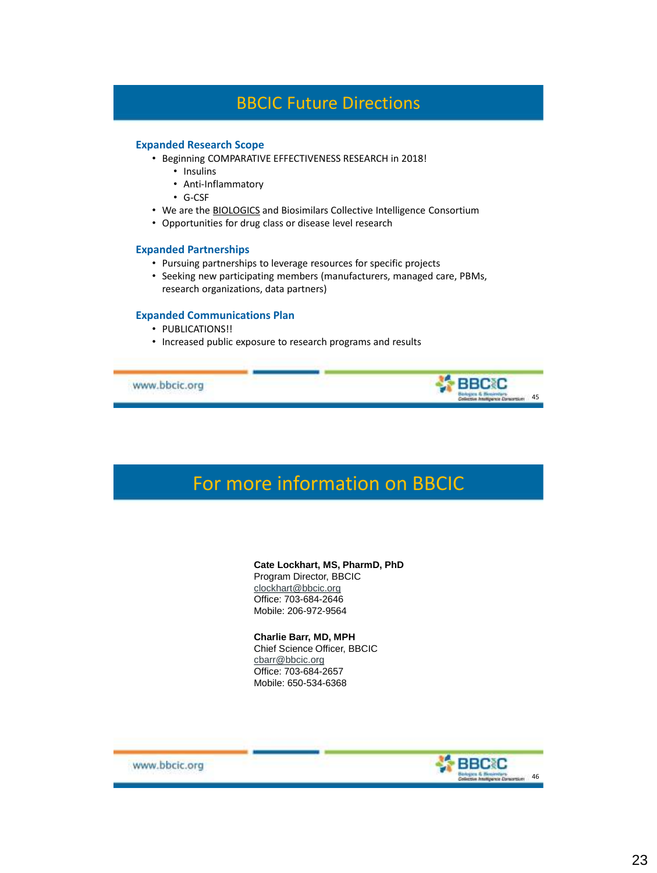### BBCIC Future Directions

#### **Expanded Research Scope**

- Beginning COMPARATIVE EFFECTIVENESS RESEARCH in 2018!
	- Insulins
	- Anti-Inflammatory
	- G-CSF
- We are the BIOLOGICS and Biosimilars Collective Intelligence Consortium
- Opportunities for drug class or disease level research

#### **Expanded Partnerships**

- Pursuing partnerships to leverage resources for specific projects
- Seeking new participating members (manufacturers, managed care, PBMs, research organizations, data partners)

#### **Expanded Communications Plan**

- PUBLICATIONS!!
- Increased public exposure to research programs and results

www.bbcic.org

### For more information on BBCIC

#### **Cate Lockhart, MS, PharmD, PhD** Program Director, BBCIC [clockhart@bbcic.org](mailto:clockhart@bbcic.org)

Office: 703-684-2646 Mobile: 206-972-9564

#### **Charlie Barr, MD, MPH**

Chief Science Officer, BBCIC [cbarr@bbcic.org](mailto:clockhart@bbcic.org) Office: 703-684-2657 Mobile: 650-534-6368



artium 45

**SS BBC C** 

www.bbcic.org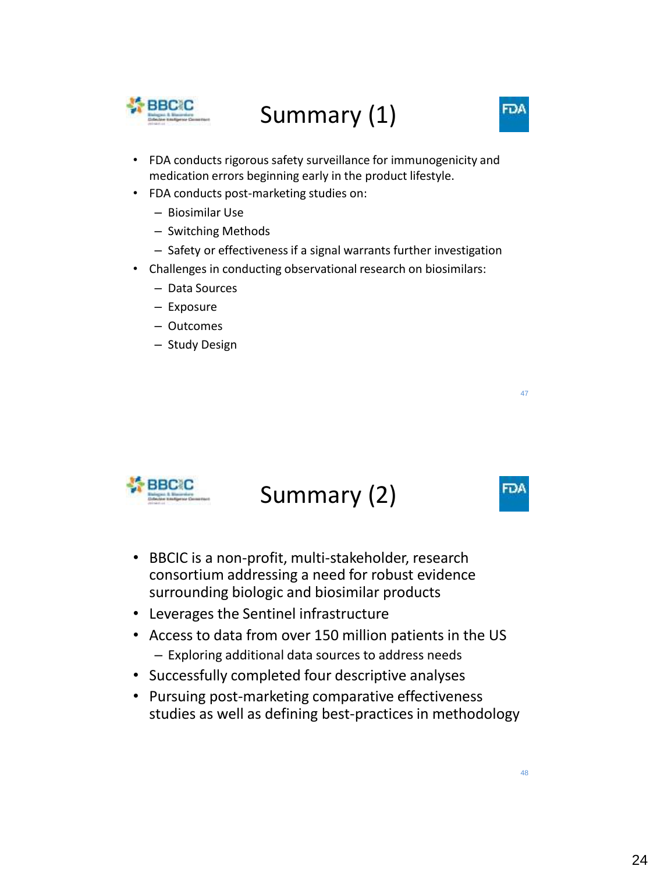

# Summary (1)

- FDA conducts rigorous safety surveillance for immunogenicity and medication errors beginning early in the product lifestyle.
- FDA conducts post-marketing studies on:
	- Biosimilar Use
	- Switching Methods
	- Safety or effectiveness if a signal warrants further investigation
- Challenges in conducting observational research on biosimilars:
	- Data Sources
	- Exposure
	- Outcomes
	- Study Design



## Summary (2)

- BBCIC is a non-profit, multi-stakeholder, research consortium addressing a need for robust evidence surrounding biologic and biosimilar products
- Leverages the Sentinel infrastructure
- Access to data from over 150 million patients in the US – Exploring additional data sources to address needs
- Successfully completed four descriptive analyses
- Pursuing post-marketing comparative effectiveness studies as well as defining best-practices in methodology

FDA